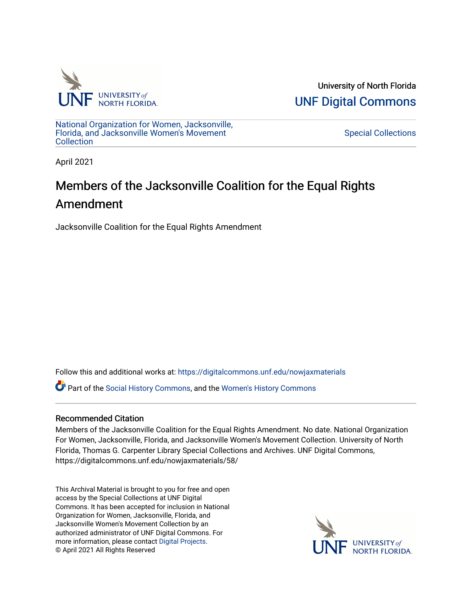

University of North Florida [UNF Digital Commons](https://digitalcommons.unf.edu/) 

[National Organization for Women, Jacksonville,](https://digitalcommons.unf.edu/nowjaxmaterials) [Florida, and Jacksonville Women's Movement](https://digitalcommons.unf.edu/nowjaxmaterials) **Collection** 

[Special Collections](https://digitalcommons.unf.edu/special_collections) 

April 2021

## Members of the Jacksonville Coalition for the Equal Rights Amendment

Jacksonville Coalition for the Equal Rights Amendment

Follow this and additional works at: [https://digitalcommons.unf.edu/nowjaxmaterials](https://digitalcommons.unf.edu/nowjaxmaterials?utm_source=digitalcommons.unf.edu%2Fnowjaxmaterials%2F58&utm_medium=PDF&utm_campaign=PDFCoverPages) 

Part of the [Social History Commons](http://network.bepress.com/hgg/discipline/506?utm_source=digitalcommons.unf.edu%2Fnowjaxmaterials%2F58&utm_medium=PDF&utm_campaign=PDFCoverPages), and the [Women's History Commons](http://network.bepress.com/hgg/discipline/507?utm_source=digitalcommons.unf.edu%2Fnowjaxmaterials%2F58&utm_medium=PDF&utm_campaign=PDFCoverPages)

## Recommended Citation

Members of the Jacksonville Coalition for the Equal Rights Amendment. No date. National Organization For Women, Jacksonville, Florida, and Jacksonville Women's Movement Collection. University of North Florida, Thomas G. Carpenter Library Special Collections and Archives. UNF Digital Commons, https://digitalcommons.unf.edu/nowjaxmaterials/58/

This Archival Material is brought to you for free and open access by the Special Collections at UNF Digital Commons. It has been accepted for inclusion in National Organization for Women, Jacksonville, Florida, and Jacksonville Women's Movement Collection by an authorized administrator of UNF Digital Commons. For more information, please contact [Digital Projects](mailto:lib-digital@unf.edu). © April 2021 All Rights Reserved

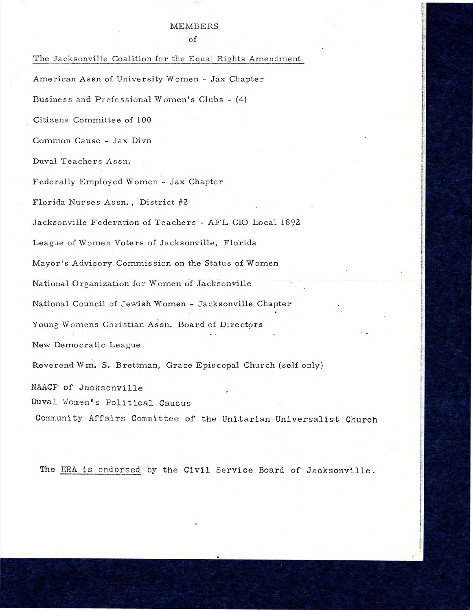## MEMBERS

of

The Jacksonville Coalition for the Equal Rights Amendment American Assn of University Women - Jax Chapter Business and Prefessional Women's Clubs - (4) Citizens Committee of 100 Common Cause - Jax Divn Duval Teachers Assn. Fede rally Employed Women - Jax Chapter Florida Nurses Assn., District #2 Jacksonville Federation of Teachers - AFL CIO Local 1892 League of Women Voters of Jacksonville, Florida Mayor's Advisory Comrnis sion on the Status of Women National Organization for Women of Jacksonville National Council of Jewish Women - Jacksonville Chapter Young Womens Christian Assn. Board of Directors New Democratic League Reverend Wm. S. Brettman, Grace Episcopal Church (self only) NAACP of Jacksonville Duval Women's Political Caucus Community Affairs Committee of the Unitarian Universalist Church

The ERA is endorsed by the Civil Service Board of Jacksonville.